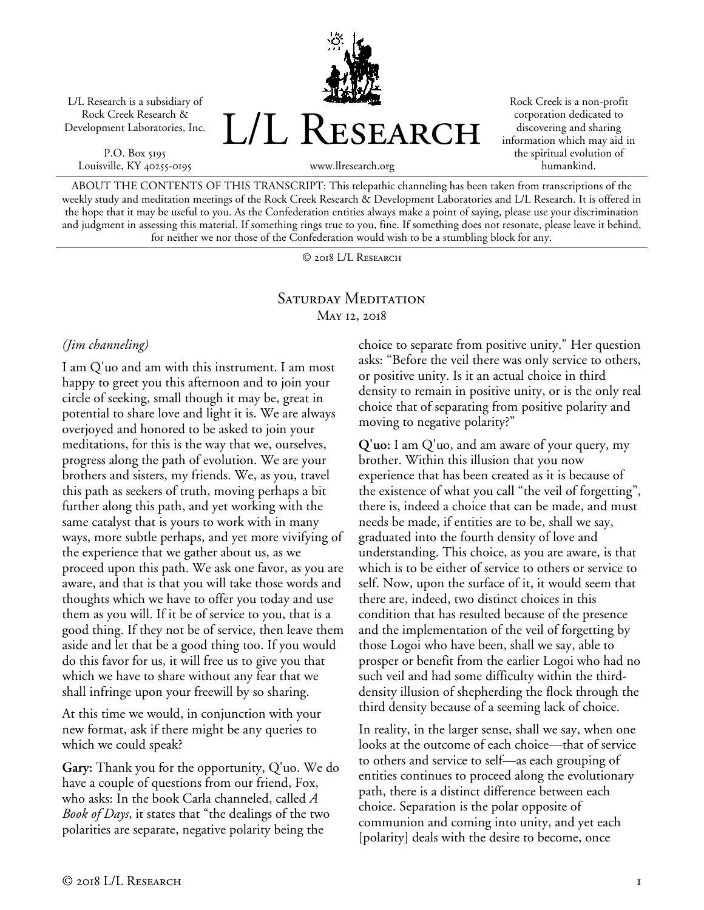L/L Research is a subsidiary of Rock Creek Research & Development Laboratories, Inc.

P.O. Box 5195 Louisville, KY 40255-0195 L/L RESEARCH

Rock Creek is a non-profit corporation dedicated to discovering and sharing information which may aid in the spiritual evolution of humankind.

www.llresearch.org

ABOUT THE CONTENTS OF THIS TRANSCRIPT: This telepathic channeling has been taken from transcriptions of the weekly study and meditation meetings of the Rock Creek Research & Development Laboratories and L/L Research. It is offered in the hope that it may be useful to you. As the Confederation entities always make a point of saying, please use your discrimination and judgment in assessing this material. If something rings true to you, fine. If something does not resonate, please leave it behind, for neither we nor those of the Confederation would wish to be a stumbling block for any.

© 2018 L/L Research

## SATURDAY MEDITATION May 12, 2018

## *(Jim channeling)*

I am Q'uo and am with this instrument. I am most happy to greet you this afternoon and to join your circle of seeking, small though it may be, great in potential to share love and light it is. We are always overjoyed and honored to be asked to join your meditations, for this is the way that we, ourselves, progress along the path of evolution. We are your brothers and sisters, my friends. We, as you, travel this path as seekers of truth, moving perhaps a bit further along this path, and yet working with the same catalyst that is yours to work with in many ways, more subtle perhaps, and yet more vivifying of the experience that we gather about us, as we proceed upon this path. We ask one favor, as you are aware, and that is that you will take those words and thoughts which we have to offer you today and use them as you will. If it be of service to you, that is a good thing. If they not be of service, then leave them aside and let that be a good thing too. If you would do this favor for us, it will free us to give you that which we have to share without any fear that we shall infringe upon your freewill by so sharing.

At this time we would, in conjunction with your new format, ask if there might be any queries to which we could speak?

**Gary:** Thank you for the opportunity, Q'uo. We do have a couple of questions from our friend, Fox, who asks: In the book Carla channeled, called *A Book of Days*, it states that "the dealings of the two polarities are separate, negative polarity being the

choice to separate from positive unity." Her question asks: "Before the veil there was only service to others, or positive unity. Is it an actual choice in third density to remain in positive unity, or is the only real choice that of separating from positive polarity and moving to negative polarity?"

**Q'uo:** I am Q'uo, and am aware of your query, my brother. Within this illusion that you now experience that has been created as it is because of the existence of what you call "the veil of forgetting", there is, indeed a choice that can be made, and must needs be made, if entities are to be, shall we say, graduated into the fourth density of love and understanding. This choice, as you are aware, is that which is to be either of service to others or service to self. Now, upon the surface of it, it would seem that there are, indeed, two distinct choices in this condition that has resulted because of the presence and the implementation of the veil of forgetting by those Logoi who have been, shall we say, able to prosper or benefit from the earlier Logoi who had no such veil and had some difficulty within the thirddensity illusion of shepherding the flock through the third density because of a seeming lack of choice.

In reality, in the larger sense, shall we say, when one looks at the outcome of each choice—that of service to others and service to self—as each grouping of entities continues to proceed along the evolutionary path, there is a distinct difference between each choice. Separation is the polar opposite of communion and coming into unity, and yet each [polarity] deals with the desire to become, once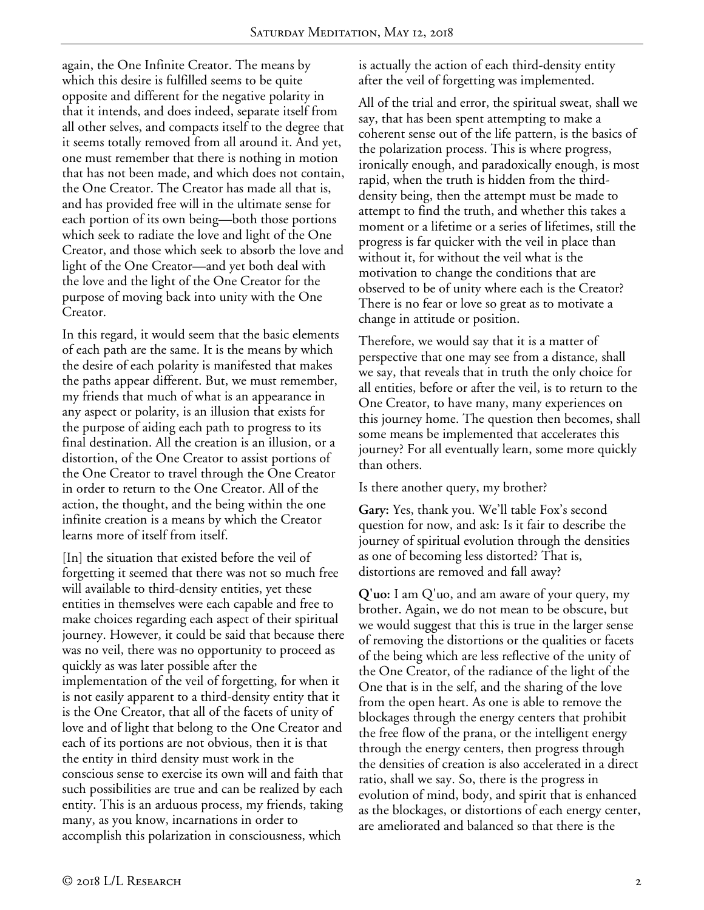again, the One Infinite Creator. The means by which this desire is fulfilled seems to be quite opposite and different for the negative polarity in that it intends, and does indeed, separate itself from all other selves, and compacts itself to the degree that it seems totally removed from all around it. And yet, one must remember that there is nothing in motion that has not been made, and which does not contain, the One Creator. The Creator has made all that is, and has provided free will in the ultimate sense for each portion of its own being—both those portions which seek to radiate the love and light of the One Creator, and those which seek to absorb the love and light of the One Creator—and yet both deal with the love and the light of the One Creator for the purpose of moving back into unity with the One Creator.

In this regard, it would seem that the basic elements of each path are the same. It is the means by which the desire of each polarity is manifested that makes the paths appear different. But, we must remember, my friends that much of what is an appearance in any aspect or polarity, is an illusion that exists for the purpose of aiding each path to progress to its final destination. All the creation is an illusion, or a distortion, of the One Creator to assist portions of the One Creator to travel through the One Creator in order to return to the One Creator. All of the action, the thought, and the being within the one infinite creation is a means by which the Creator learns more of itself from itself.

[In] the situation that existed before the veil of forgetting it seemed that there was not so much free will available to third-density entities, yet these entities in themselves were each capable and free to make choices regarding each aspect of their spiritual journey. However, it could be said that because there was no veil, there was no opportunity to proceed as quickly as was later possible after the implementation of the veil of forgetting, for when it is not easily apparent to a third-density entity that it is the One Creator, that all of the facets of unity of love and of light that belong to the One Creator and each of its portions are not obvious, then it is that the entity in third density must work in the conscious sense to exercise its own will and faith that such possibilities are true and can be realized by each entity. This is an arduous process, my friends, taking many, as you know, incarnations in order to accomplish this polarization in consciousness, which

is actually the action of each third-density entity after the veil of forgetting was implemented.

All of the trial and error, the spiritual sweat, shall we say, that has been spent attempting to make a coherent sense out of the life pattern, is the basics of the polarization process. This is where progress, ironically enough, and paradoxically enough, is most rapid, when the truth is hidden from the thirddensity being, then the attempt must be made to attempt to find the truth, and whether this takes a moment or a lifetime or a series of lifetimes, still the progress is far quicker with the veil in place than without it, for without the veil what is the motivation to change the conditions that are observed to be of unity where each is the Creator? There is no fear or love so great as to motivate a change in attitude or position.

Therefore, we would say that it is a matter of perspective that one may see from a distance, shall we say, that reveals that in truth the only choice for all entities, before or after the veil, is to return to the One Creator, to have many, many experiences on this journey home. The question then becomes, shall some means be implemented that accelerates this journey? For all eventually learn, some more quickly than others.

Is there another query, my brother?

**Gary:** Yes, thank you. We'll table Fox's second question for now, and ask: Is it fair to describe the journey of spiritual evolution through the densities as one of becoming less distorted? That is, distortions are removed and fall away?

**Q'uo:** I am Q'uo, and am aware of your query, my brother. Again, we do not mean to be obscure, but we would suggest that this is true in the larger sense of removing the distortions or the qualities or facets of the being which are less reflective of the unity of the One Creator, of the radiance of the light of the One that is in the self, and the sharing of the love from the open heart. As one is able to remove the blockages through the energy centers that prohibit the free flow of the prana, or the intelligent energy through the energy centers, then progress through the densities of creation is also accelerated in a direct ratio, shall we say. So, there is the progress in evolution of mind, body, and spirit that is enhanced as the blockages, or distortions of each energy center, are ameliorated and balanced so that there is the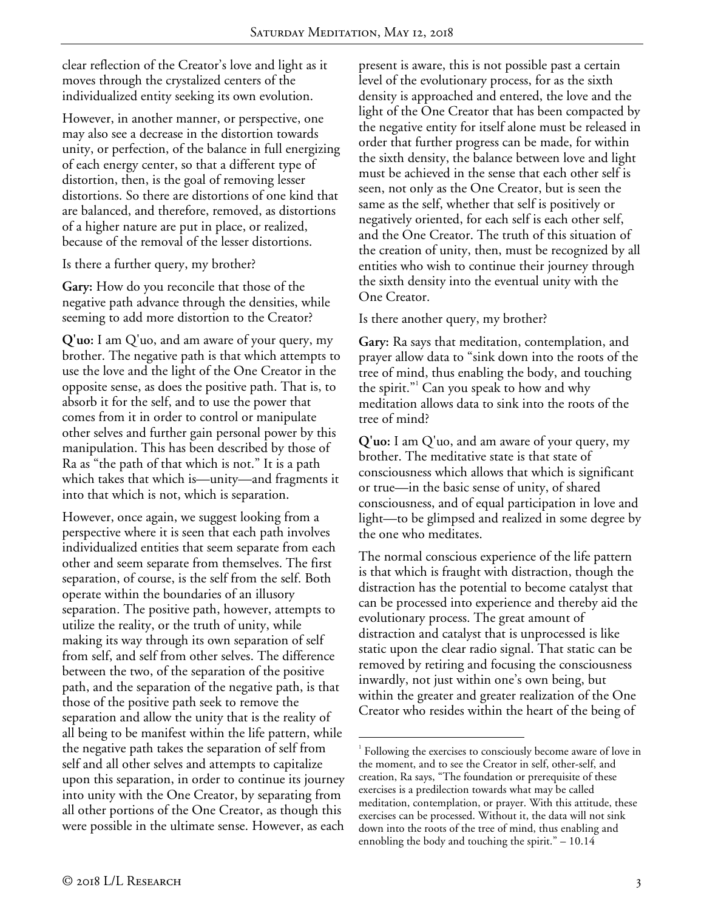clear reflection of the Creator's love and light as it moves through the crystalized centers of the individualized entity seeking its own evolution.

However, in another manner, or perspective, one may also see a decrease in the distortion towards unity, or perfection, of the balance in full energizing of each energy center, so that a different type of distortion, then, is the goal of removing lesser distortions. So there are distortions of one kind that are balanced, and therefore, removed, as distortions of a higher nature are put in place, or realized, because of the removal of the lesser distortions.

Is there a further query, my brother?

**Gary:** How do you reconcile that those of the negative path advance through the densities, while seeming to add more distortion to the Creator?

**Q'uo:** I am Q'uo, and am aware of your query, my brother. The negative path is that which attempts to use the love and the light of the One Creator in the opposite sense, as does the positive path. That is, to absorb it for the self, and to use the power that comes from it in order to control or manipulate other selves and further gain personal power by this manipulation. This has been described by those of Ra as "the path of that which is not." It is a path which takes that which is—unity—and fragments it into that which is not, which is separation.

However, once again, we suggest looking from a perspective where it is seen that each path involves individualized entities that seem separate from each other and seem separate from themselves. The first separation, of course, is the self from the self. Both operate within the boundaries of an illusory separation. The positive path, however, attempts to utilize the reality, or the truth of unity, while making its way through its own separation of self from self, and self from other selves. The difference between the two, of the separation of the positive path, and the separation of the negative path, is that those of the positive path seek to remove the separation and allow the unity that is the reality of all being to be manifest within the life pattern, while the negative path takes the separation of self from self and all other selves and attempts to capitalize upon this separation, in order to continue its journey into unity with the One Creator, by separating from all other portions of the One Creator, as though this were possible in the ultimate sense. However, as each

present is aware, this is not possible past a certain level of the evolutionary process, for as the sixth density is approached and entered, the love and the light of the One Creator that has been compacted by the negative entity for itself alone must be released in order that further progress can be made, for within the sixth density, the balance between love and light must be achieved in the sense that each other self is seen, not only as the One Creator, but is seen the same as the self, whether that self is positively or negatively oriented, for each self is each other self, and the One Creator. The truth of this situation of the creation of unity, then, must be recognized by all entities who wish to continue their journey through the sixth density into the eventual unity with the One Creator.

Is there another query, my brother?

**Gary:** Ra says that meditation, contemplation, and prayer allow data to "sink down into the roots of the tree of mind, thus enabling the body, and touching the spirit."<sup>1</sup> Can you speak to how and why meditation allows data to sink into the roots of the tree of mind?

**Q'uo:** I am Q'uo, and am aware of your query, my brother. The meditative state is that state of consciousness which allows that which is significant or true—in the basic sense of unity, of shared consciousness, and of equal participation in love and light—to be glimpsed and realized in some degree by the one who meditates.

The normal conscious experience of the life pattern is that which is fraught with distraction, though the distraction has the potential to become catalyst that can be processed into experience and thereby aid the evolutionary process. The great amount of distraction and catalyst that is unprocessed is like static upon the clear radio signal. That static can be removed by retiring and focusing the consciousness inwardly, not just within one's own being, but within the greater and greater realization of the One Creator who resides within the heart of the being of

 $\frac{1}{1}$  $1$  Following the exercises to consciously become aware of love in the moment, and to see the Creator in self, other-self, and creation, Ra says, "The foundation or prerequisite of these exercises is a predilection towards what may be called meditation, contemplation, or prayer. With this attitude, these exercises can be processed. Without it, the data will not sink down into the roots of the tree of mind, thus enabling and ennobling the body and touching the spirit." – 10.14